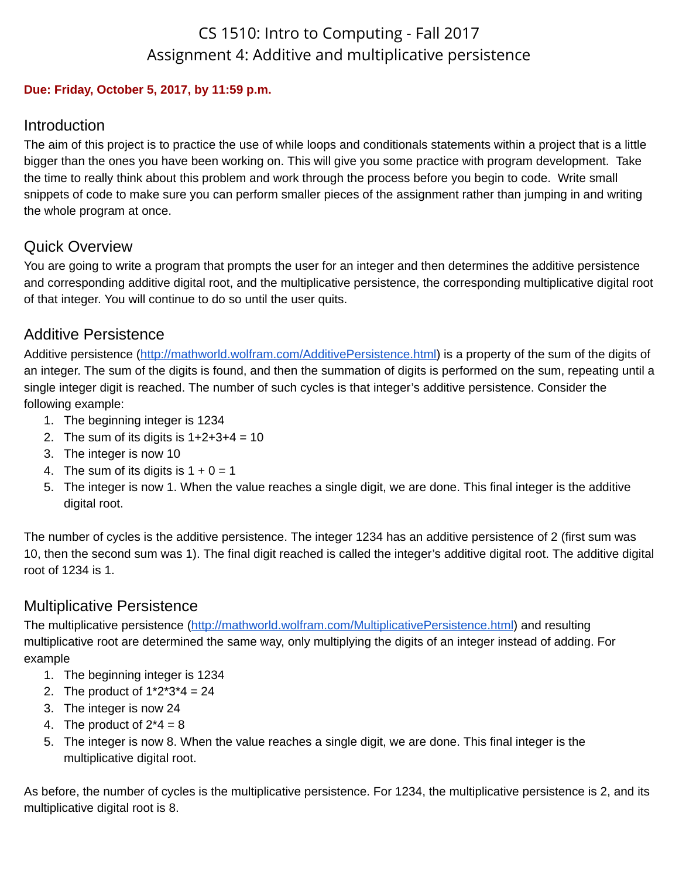# CS 1510: Intro to Computing - Fall 2017 Assignment 4: Additive and multiplicative persistence

#### **Due: Friday, October 5, 2017, by 11:59 p.m.**

#### Introduction

The aim of this project is to practice the use of while loops and conditionals statements within a project that is a little bigger than the ones you have been working on. This will give you some practice with program development. Take the time to really think about this problem and work through the process before you begin to code. Write small snippets of code to make sure you can perform smaller pieces of the assignment rather than jumping in and writing the whole program at once.

### Quick Overview

You are going to write a program that prompts the user for an integer and then determines the additive persistence and corresponding additive digital root, and the multiplicative persistence, the corresponding multiplicative digital root of that integer. You will continue to do so until the user quits.

### Additive Persistence

Additive persistence ([http://mathworld.wolfram.com/AdditivePersistence.html\)](http://mathworld.wolfram.com/AdditivePersistence.html) is a property of the sum of the digits of an integer. The sum of the digits is found, and then the summation of digits is performed on the sum, repeating until a single integer digit is reached. The number of such cycles is that integer's additive persistence. Consider the following example:

- 1. The beginning integer is 1234
- 2. The sum of its digits is  $1+2+3+4=10$
- 3. The integer is now 10
- 4. The sum of its digits is  $1 + 0 = 1$
- 5. The integer is now 1. When the value reaches a single digit, we are done. This final integer is the additive digital root.

The number of cycles is the additive persistence. The integer 1234 has an additive persistence of 2 (first sum was 10, then the second sum was 1). The final digit reached is called the integer's additive digital root. The additive digital root of 1234 is 1.

### Multiplicative Persistence

The multiplicative persistence [\(http://mathworld.wolfram.com/MultiplicativePersistence.html\)](http://mathworld.wolfram.com/MultiplicativePersistence.html) and resulting multiplicative root are determined the same way, only multiplying the digits of an integer instead of adding. For example

- 1. The beginning integer is 1234
- 2. The product of  $1*2*3*4 = 24$
- 3. The integer is now 24
- 4. The product of  $2*4 = 8$
- 5. The integer is now 8. When the value reaches a single digit, we are done. This final integer is the multiplicative digital root.

As before, the number of cycles is the multiplicative persistence. For 1234, the multiplicative persistence is 2, and its multiplicative digital root is 8.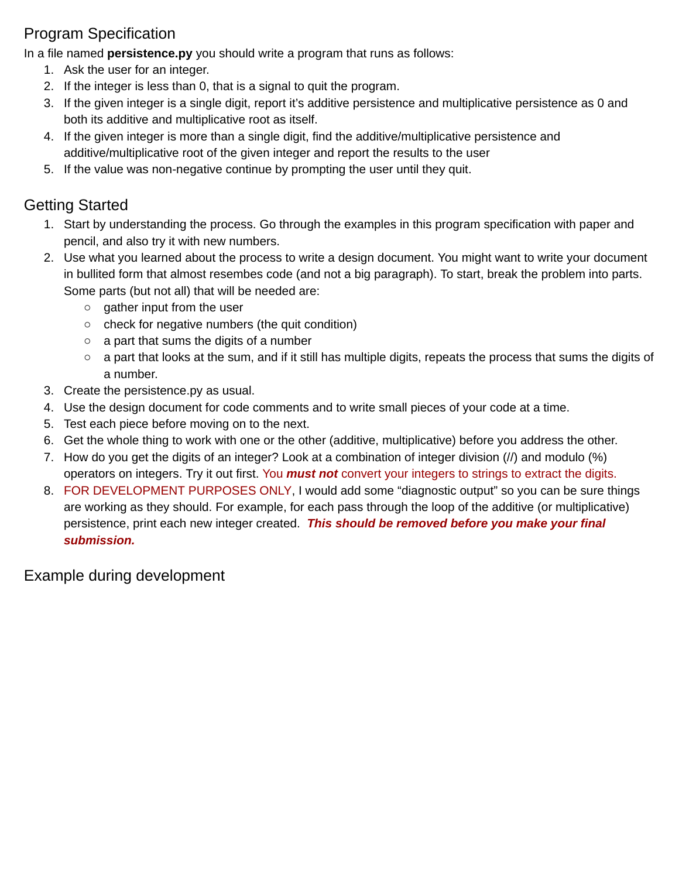## Program Specification

In a file named **persistence.py** you should write a program that runs as follows:

- 1. Ask the user for an integer.
- 2. If the integer is less than 0, that is a signal to quit the program.
- 3. If the given integer is a single digit, report it's additive persistence and multiplicative persistence as 0 and both its additive and multiplicative root as itself.
- 4. If the given integer is more than a single digit, find the additive/multiplicative persistence and additive/multiplicative root of the given integer and report the results to the user
- 5. If the value was non-negative continue by prompting the user until they quit.

## Getting Started

- 1. Start by understanding the process. Go through the examples in this program specification with paper and pencil, and also try it with new numbers.
- 2. Use what you learned about the process to write a design document. You might want to write your document in bullited form that almost resembes code (and not a big paragraph). To start, break the problem into parts. Some parts (but not all) that will be needed are:
	- gather input from the user
	- check for negative numbers (the quit condition)
	- a part that sums the digits of a number
	- a part that looks at the sum, and if it still has multiple digits, repeats the process that sums the digits of a number.
- 3. Create the persistence.py as usual.
- 4. Use the design document for code comments and to write small pieces of your code at a time.
- 5. Test each piece before moving on to the next.
- 6. Get the whole thing to work with one or the other (additive, multiplicative) before you address the other.
- 7. How do you get the digits of an integer? Look at a combination of integer division (//) and modulo (%) operators on integers. Try it out first. You *must not* convert your integers to strings to extract the digits.
- 8. FOR DEVELOPMENT PURPOSES ONLY, I would add some "diagnostic output" so you can be sure things are working as they should. For example, for each pass through the loop of the additive (or multiplicative) persistence, print each new integer created. *This should be removed before you make your final submission.*

Example during development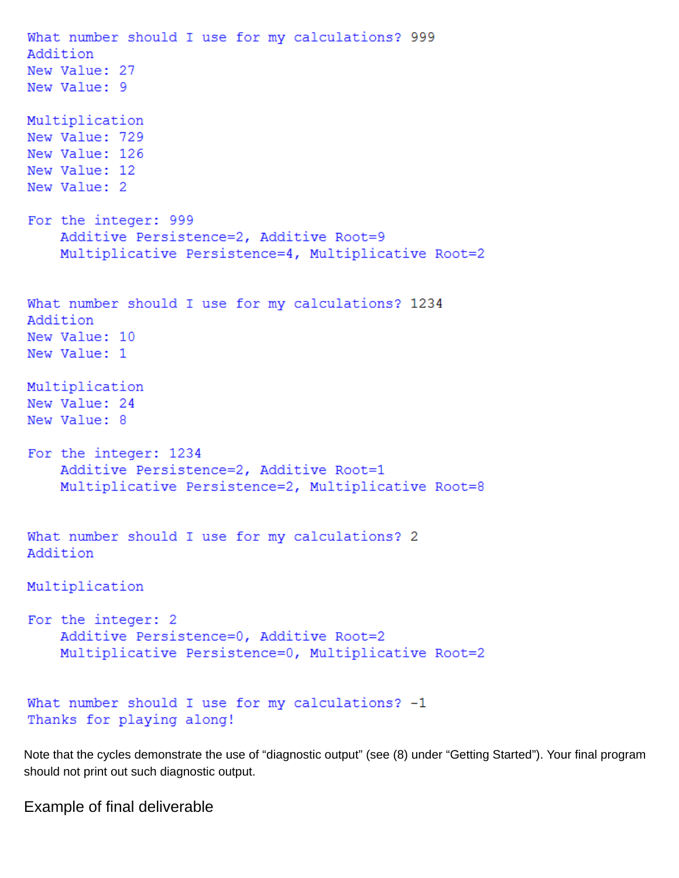What number should I use for my calculations? 999 Addition New Value: 27 New Value: 9 Multiplication New Value: 729 New Value: 126 New Value: 12 New Value: 2 For the integer: 999 Additive Persistence=2, Additive Root=9 Multiplicative Persistence=4, Multiplicative Root=2 What number should I use for my calculations? 1234 Addition New Value: 10 New Value: 1 Multiplication New Value: 24 New Value: 8 For the integer: 1234 Additive Persistence=2, Additive Root=1 Multiplicative Persistence=2, Multiplicative Root=8 What number should I use for my calculations? 2 Addition Multiplication For the integer: 2 Additive Persistence=0, Additive Root=2 Multiplicative Persistence=0, Multiplicative Root=2 What number should I use for my calculations? -1 Thanks for playing along!

Note that the cycles demonstrate the use of "diagnostic output" (see (8) under "Getting Started"). Your final program should not print out such diagnostic output.

Example of final deliverable